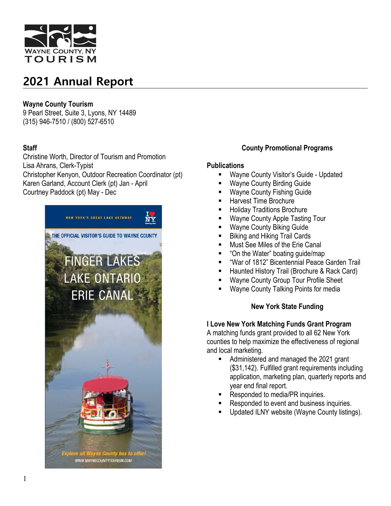

## **Wayne County Tourism**

9 Pearl Street, Suite 3, Lyons, NY 14489 (315) 946-7510 / (800) 527-6510

## **Staff**

Christine Worth, Director of Tourism and Promotion Lisa Ahrans, Clerk-Typist Christopher Kenyon, Outdoor Recreation Coordinator (pt) Karen Garland, Account Clerk (pt) Jan - April Courtney Paddock (pt) May - Dec



### **County Promotional Programs**

### **Publications**

- Wayne County Visitor's Guide Updated
- Wayne County Birding Guide
- Wayne County Fishing Guide
- Harvest Time Brochure
- Holiday Traditions Brochure
- Wayne County Apple Tasting Tour
- **Wayne County Biking Guide**
- Biking and Hiking Trail Cards
- Must See Miles of the Erie Canal
- "On the Water" boating guide/map
- "War of 1812" Bicentennial Peace Garden Trail
- Haunted History Trail (Brochure & Rack Card)
- Wayne County Group Tour Profile Sheet
- Wayne County Talking Points for media

### **New York State Funding**

### **I Love New York Matching Funds Grant Program**

A matching funds grant provided to all 62 New York counties to help maximize the effectiveness of regional and local marketing.

- Administered and managed the 2021 grant (\$31,142). Fulfilled grant requirements including application, marketing plan, quarterly reports and year end final report.
- Responded to media/PR inquiries.
- Responded to event and business inquiries.
- Updated ILNY website (Wayne County listings).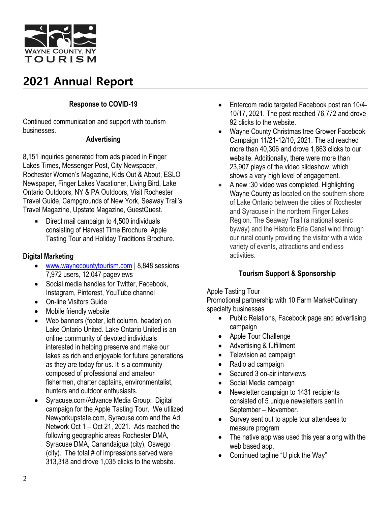

## **Response to COVID-19**

Continued communication and support with tourism businesses.

### **Advertising**

8,151 inquiries generated from ads placed in Finger Lakes Times, Messenger Post, City Newspaper, Rochester Women's Magazine, Kids Out & About, ESLO Newspaper, Finger Lakes Vacationer, Living Bird, Lake Ontario Outdoors, NY & PA Outdoors, Visit Rochester Travel Guide, Campgrounds of New York, Seaway Trail's Travel Magazine, Upstate Magazine, GuestQuest.

**EXECUTE:** Direct mail campaign to 4,500 individuals consisting of Harvest Time Brochure, Apple Tasting Tour and Holiday Traditions Brochure.

## **Digital Marketing**

- [www.waynecountytourism.com](http://www.waynecountytourism.com/) | 8,848 sessions, 7,972 users, 12,047 pageviews
- Social media handles for Twitter, Facebook, Instagram, Pinterest, YouTube channel
- On-line Visitors Guide
- Mobile friendly website
- Web banners (footer, left column, header) on Lake Ontario United. Lake Ontario United is an online community of devoted individuals interested in helping preserve and make our lakes as rich and enjoyable for future generations as they are today for us. It is a community composed of professional and amateur fishermen, charter captains, environmentalist, hunters and outdoor enthusiasts.
- Syracuse.com/Advance Media Group: Digital campaign for the Apple Tasting Tour. We utilized Newyorkupstate.com, Syracuse.com and the Ad Network Oct 1 – Oct 21, 2021. Ads reached the following geographic areas Rochester DMA, Syracuse DMA, Canandaigua (city), Oswego (city). The total # of impressions served were 313,318 and drove 1,035 clicks to the website.
- Entercom radio targeted Facebook post ran 10/4- 10/17, 2021. The post reached 76,772 and drove 92 clicks to the website.
- Wayne County Christmas tree Grower Facebook Campaign 11/21-12/10, 2021. The ad reached more than 40,306 and drove 1,863 clicks to our website. Additionally, there were more than 23,907 plays of the video slideshow, which shows a very high level of engagement.
- A new :30 video was completed. Highlighting Wayne County as located on the southern shore of Lake Ontario between the cities of Rochester and Syracuse in the northern Finger Lakes Region. The Seaway Trail (a national scenic byway) and the Historic Erie Canal wind through our rural county providing the visitor with a wide variety of events, attractions and endless activities.

## **Tourism Support & Sponsorship**

### Apple Tasting Tour

Promotional partnership with 10 Farm Market/Culinary specialty businesses

- Public Relations, Facebook page and advertising campaign
- Apple Tour Challenge
- Advertising & fulfillment
- Television ad campaign
- Radio ad campaign
- Secured 3 on-air interviews
- Social Media campaign
- Newsletter campaign to 1431 recipients consisted of 5 unique newsletters sent in September – November.
- Survey sent out to apple tour attendees to measure program
- The native app was used this year along with the web based app.
- Continued tagline "U pick the Way"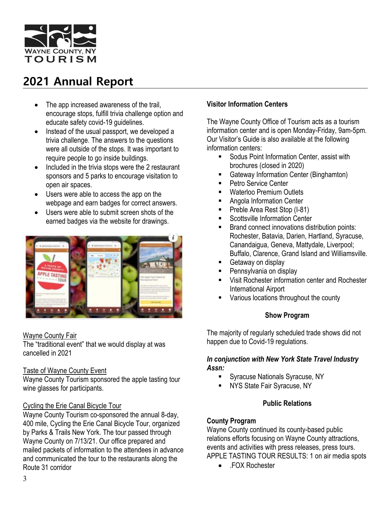

- The app increased awareness of the trail, encourage stops, fulfill trivia challenge option and educate safety covid-19 guidelines.
- Instead of the usual passport, we developed a trivia challenge. The answers to the questions were all outside of the stops. It was important to require people to go inside buildings.
- Included in the trivia stops were the 2 restaurant sponsors and 5 parks to encourage visitation to open air spaces.
- Users were able to access the app on the webpage and earn badges for correct answers.
- Users were able to submit screen shots of the earned badges via the website for drawings.



### Wayne County Fair

The "traditional event" that we would display at was cancelled in 2021

### Taste of Wayne County Event

Wayne County Tourism sponsored the apple tasting tour wine glasses for participants.

## Cycling the Erie Canal Bicycle Tour

Wayne County Tourism co-sponsored the annual 8-day, 400 mile, Cycling the Erie Canal Bicycle Tour, organized by Parks & Trails New York. The tour passed through Wayne County on 7/13/21. Our office prepared and mailed packets of information to the attendees in advance and communicated the tour to the restaurants along the Route 31 corridor

## **Visitor Information Centers**

The Wayne County Office of Tourism acts as a tourism information center and is open Monday-Friday, 9am-5pm. Our Visitor's Guide is also available at the following information centers:

- Sodus Point Information Center, assist with brochures (closed in 2020)
- Gateway Information Center (Binghamton)
- Petro Service Center
- **Waterloo Premium Outlets**
- Angola Information Center
- Preble Area Rest Stop (I-81)
- Scottsville Information Center
- Brand connect innovations distribution points: Rochester, Batavia, Darien, Hartland, Syracuse, Canandaigua, Geneva, Mattydale, Liverpool; Buffalo, Clarence, Grand Island and Williamsville.
- Getaway on display
- Pennsylvania on display
- Visit Rochester information center and Rochester International Airport
- Various locations throughout the county

## **Show Program**

The majority of regularly scheduled trade shows did not happen due to Covid-19 regulations.

## *In conjunction with New York State Travel Industry Assn:*

- Syracuse Nationals Syracuse, NY
- **NYS State Fair Syracuse, NY**

## **Public Relations**

## **County Program**

Wayne County continued its county-based public relations efforts focusing on Wayne County attractions, events and activities with press releases, press tours. APPLE TASTING TOUR RESULTS: 1 on air media spots

• .FOX Rochester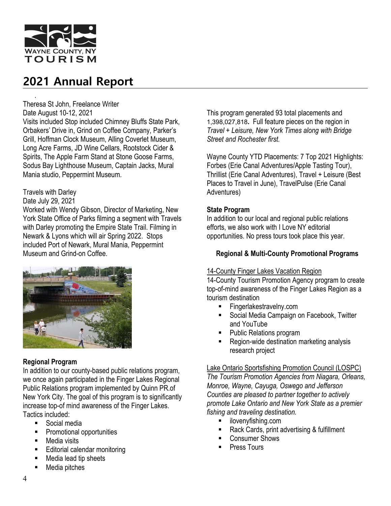

. Theresa St John, Freelance Writer Date August 10-12, 2021

Visits included Stop included Chimney Bluffs State Park, Orbakers' Drive in, Grind on Coffee Company, Parker's Grill, Hoffman Clock Museum, Alling Coverlet Museum, Long Acre Farms, JD Wine Cellars, Rootstock Cider & Spirits, The Apple Farm Stand at Stone Goose Farms, Sodus Bay Lighthouse Museum, Captain Jacks, Mural Mania studio, Peppermint Museum.

## Travels with Darley

#### Date July 29, 2021

Worked with Wendy Gibson, Director of Marketing, New York State Office of Parks filming a segment with Travels with Darley promoting the Empire State Trail. Filming in Newark & Lyons which will air Spring 2022. Stops included Port of Newark, Mural Mania, Peppermint Museum and Grind-on Coffee.



## **Regional Program**

In addition to our county-based public relations program, we once again participated in the Finger Lakes Regional Public Relations program implemented by Quinn PR.of New York City. The goal of this program is to significantly increase top-of mind awareness of the Finger Lakes. Tactics included:

- Social media
- Promotional opportunities
- Media visits
- Editorial calendar monitoring
- Media lead tip sheets
- Media pitches

This program generated 93 total placements and 1,398,027,818**.** Full feature pieces on the region in *Travel + Leisure, New York Times along with Bridge Street and Rochester first.*

Wayne County YTD Placements: 7 Top 2021 Highlights: Forbes (Erie Canal Adventures/Apple Tasting Tour), Thrillist (Erie Canal Adventures), Travel + Leisure (Best Places to Travel in June), TravelPulse (Erie Canal Adventures)

## **State Program**

In addition to our local and regional public relations efforts, we also work with I Love NY editorial opportunities. No press tours took place this year.

### **Regional & Multi-County Promotional Programs**

### 14-County Finger Lakes Vacation Region

14-County Tourism Promotion Agency program to create top-of-mind awareness of the Finger Lakes Region as a tourism destination

- **Fingerlakestravelny.com**
- Social Media Campaign on Facebook, Twitter and YouTube
- Public Relations program
- Region-wide destination marketing analysis research project

### Lake Ontario Sportsfishing Promotion Council (LOSPC)

*The Tourism Promotion Agencies from Niagara, Orleans, Monroe, Wayne, Cayuga, Oswego and Jefferson Counties are pleased to partner together to actively promote Lake Ontario and New York State as a premier fishing and traveling destination.*

- **·** ilovenyfishing.com
- Rack Cards, print advertising & fulfillment
- Consumer Shows
- Press Tours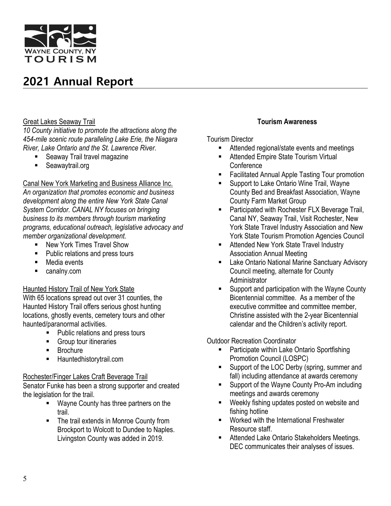

### Great Lakes Seaway Trail

*10 County initiative to promote the attractions along the 454-mile scenic route paralleling Lake Erie, the Niagara River, Lake Ontario and the St. Lawrence River.*

- Seaway Trail travel magazine
- Seawaytrail.org

Canal New York Marketing and Business Alliance Inc.

*An organization that promotes economic and business development along the entire New York State Canal System Corridor. CANAL NY focuses on bringing business to its members through tourism marketing programs, educational outreach, legislative advocacy and member organizational development.*

- New York Times Travel Show
- Public relations and press tours
- Media events
- **canalny.com**

### Haunted History Trail of New York State

With 65 locations spread out over 31 counties, the Haunted History Trail offers serious ghost hunting locations, ghostly events, cemetery tours and other haunted/paranormal activities.

- Public relations and press tours
- **Group tour itineraries**
- **Brochure**
- **Hauntedhistorytrail.com**

## Rochester/Finger Lakes Craft Beverage Trail

Senator Funke has been a strong supporter and created the legislation for the trail.

- **Wayne County has three partners on the** trail.
- The trail extends in Monroe County from Brockport to Wolcott to Dundee to Naples. Livingston County was added in 2019.

## **Tourism Awareness**

## Tourism Director

- Attended regional/state events and meetings
- **Attended Empire State Tourism Virtual Conference**
- Facilitated Annual Apple Tasting Tour promotion
- Support to Lake Ontario Wine Trail, Wayne County Bed and Breakfast Association, Wayne County Farm Market Group
- **Participated with Rochester FLX Beverage Trail,** Canal NY, Seaway Trail, Visit Rochester, New York State Travel Industry Association and New York State Tourism Promotion Agencies Council
- **EXECUTE:** Attended New York State Travel Industry Association Annual Meeting
- **E.** Lake Ontario National Marine Sanctuary Advisory Council meeting, alternate for County Administrator
- Support and participation with the Wayne County Bicentennial committee. As a member of the executive committee and committee member, Christine assisted with the 2-year Bicentennial calendar and the Children's activity report.

Outdoor Recreation Coordinator

- Participate within Lake Ontario Sportfishing Promotion Council (LOSPC)
- **Support of the LOC Derby (spring, summer and** fall) including attendance at awards ceremony
- **Support of the Wayne County Pro-Am including** meetings and awards ceremony
- **Weekly fishing updates posted on website and** fishing hotline
- **Worked with the International Freshwater** Resource staff.
- **EXECUTE:** Attended Lake Ontario Stakeholders Meetings. DEC communicates their analyses of issues.